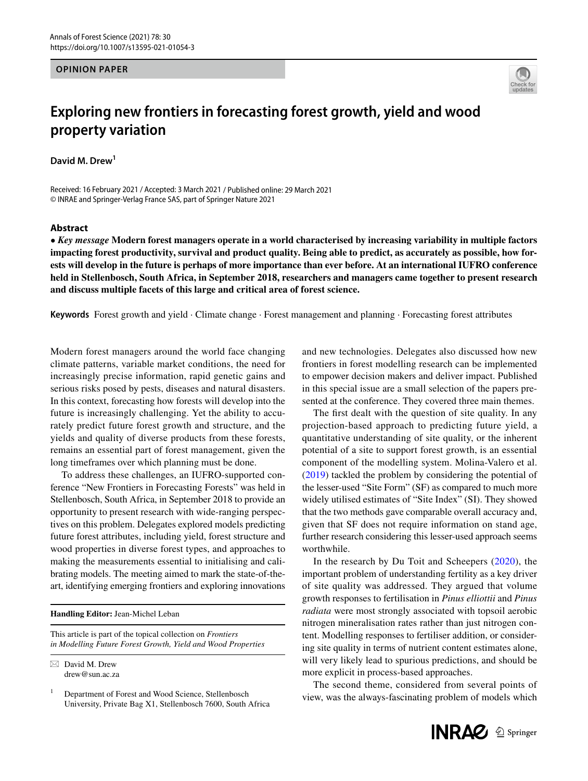## **OPINION PAPER**



## **Exploring new frontiers in forecasting forest growth, yield and wood property variation**

**David M. Drew<sup>1</sup>**

Received: 16 February 2021 / Accepted: 3 March 2021 / Published online: 29 March 2021 © INRAE and Springer-Verlag France SAS, part of Springer Nature 2021

## **Abstract**

• *Key message* **Modern forest managers operate in a world characterised by increasing variability in multiple factors impacting forest productivity, survival and product quality. Being able to predict, as accurately as possible, how forests will develop in the future is perhaps of more importance than ever before. At an international IUFRO conference held in Stellenbosch, South Africa, in September 2018, researchers and managers came together to present research and discuss multiple facets of this large and critical area of forest science.**

**Keywords** Forest growth and yield · Climate change · Forest management and planning · Forecasting forest attributes

Modern forest managers around the world face changing climate patterns, variable market conditions, the need for increasingly precise information, rapid genetic gains and serious risks posed by pests, diseases and natural disasters. In this context, forecasting how forests will develop into the future is increasingly challenging. Yet the ability to accurately predict future forest growth and structure, and the yields and quality of diverse products from these forests, remains an essential part of forest management, given the long timeframes over which planning must be done.

To address these challenges, an IUFRO-supported conference "New Frontiers in Forecasting Forests" was held in Stellenbosch, South Africa, in September 2018 to provide an opportunity to present research with wide-ranging perspectives on this problem. Delegates explored models predicting future forest attributes, including yield, forest structure and wood properties in diverse forest types, and approaches to making the measurements essential to initialising and calibrating models. The meeting aimed to mark the state-of-theart, identifying emerging frontiers and exploring innovations

**Handling Editor:** Jean-Michel Leban

This article is part of the topical collection on *Frontiers in Modelling Future Forest Growth, Yield and Wood Properties*

 $\boxtimes$  David M. Drew drew@sun.ac.za

<sup>1</sup> Department of Forest and Wood Science, Stellenbosch University, Private Bag X1, Stellenbosch 7600, South Africa and new technologies. Delegates also discussed how new frontiers in forest modelling research can be implemented to empower decision makers and deliver impact. Published in this special issue are a small selection of the papers presented at the conference. They covered three main themes.

The frst dealt with the question of site quality. In any projection-based approach to predicting future yield, a quantitative understanding of site quality, or the inherent potential of a site to support forest growth, is an essential component of the modelling system. Molina-Valero et al. ([2019\)](#page-1-0) tackled the problem by considering the potential of the lesser-used "Site Form" (SF) as compared to much more widely utilised estimates of "Site Index" (SI). They showed that the two methods gave comparable overall accuracy and, given that SF does not require information on stand age, further research considering this lesser-used approach seems worthwhile.

In the research by Du Toit and Scheepers ([2020\)](#page-1-1), the important problem of understanding fertility as a key driver of site quality was addressed. They argued that volume growth responses to fertilisation in *Pinus elliottii* and *Pinus radiata* were most strongly associated with topsoil aerobic nitrogen mineralisation rates rather than just nitrogen content. Modelling responses to fertiliser addition, or considering site quality in terms of nutrient content estimates alone, will very likely lead to spurious predictions, and should be more explicit in process-based approaches.

The second theme, considered from several points of view, was the always-fascinating problem of models which